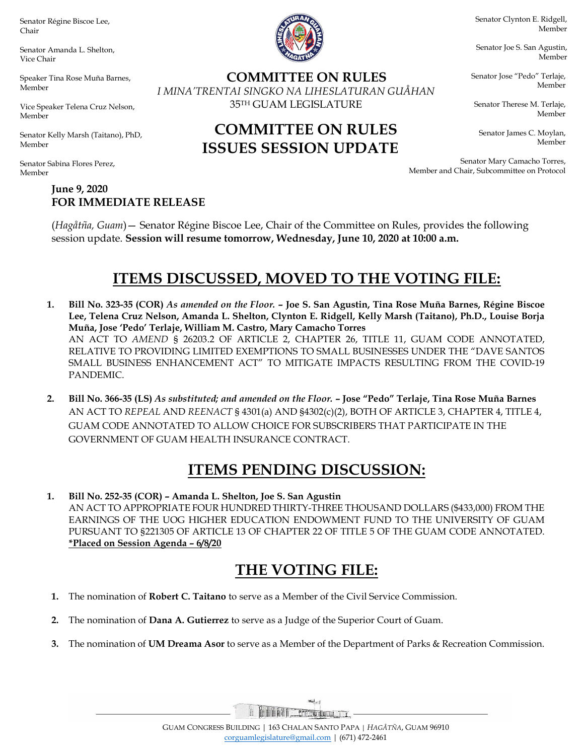Senator Régine Biscoe Lee, Chair

Senator Amanda L. Shelton, Vice Chair

Speaker Tina Rose Muña Barnes, Member

Vice Speaker Telena Cruz Nelson, Member

Senator Kelly Marsh (Taitano), PhD, Member

Senator Sabina Flores Perez, Member

> June 9, 2020 FOR IMMEDIATE RELEASE



COMMITTEE ON RULES I MINA'TRENTAI SINGKO NA LIHESLATURAN GUÅHAN 35TH GUAM LEGISLATURE

COMMITTEE ON RULES

ISSUES SESSION UPDATE

Senator Clynton E. Ridgell, Member

Senator Joe S. San Agustin, Member

Senator Jose "Pedo" Terlaje, Member

Senator Therese M. Terlaje, Member

Senator James C. Moylan, Member

Senator Mary Camacho Torres, Member and Chair, Subcommittee on Protocol

(Hagåtña, Guam)— Senator Régine Biscoe Lee, Chair of the Committee on Rules, provides the following session update. Session will resume tomorrow, Wednesday, June 10, 2020 at 10:00 a.m.

## ITEMS DISCUSSED, MOVED TO THE VOTING FILE:

- 1. Bill No. 323-35 (COR) As amended on the Floor. Joe S. San Agustin, Tina Rose Muña Barnes, Régine Biscoe Lee, Telena Cruz Nelson, Amanda L. Shelton, Clynton E. Ridgell, Kelly Marsh (Taitano), Ph.D., Louise Borja Muña, Jose 'Pedo' Terlaje, William M. Castro, Mary Camacho Torres AN ACT TO AMEND § 26203.2 OF ARTICLE 2, CHAPTER 26, TITLE 11, GUAM CODE ANNOTATED, RELATIVE TO PROVIDING LIMITED EXEMPTIONS TO SMALL BUSINESSES UNDER THE "DAVE SANTOS SMALL BUSINESS ENHANCEMENT ACT" TO MITIGATE IMPACTS RESULTING FROM THE COVID-19 PANDEMIC.
- 2. Bill No. 366-35 (LS) As substituted; and amended on the Floor. Jose "Pedo" Terlaje, Tina Rose Muña Barnes AN ACT TO REPEAL AND REENACT § 4301(a) AND §4302(c)(2), BOTH OF ARTICLE 3, CHAPTER 4, TITLE 4, GUAM CODE ANNOTATED TO ALLOW CHOICE FOR SUBSCRIBERS THAT PARTICIPATE IN THE GOVERNMENT OF GUAM HEALTH INSURANCE CONTRACT.

## ITEMS PENDING DISCUSSION:

1. Bill No. 252-35 (COR) – Amanda L. Shelton, Joe S. San Agustin AN ACT TO APPROPRIATE FOUR HUNDRED THIRTY-THREE THOUSAND DOLLARS (\$433,000) FROM THE EARNINGS OF THE UOG HIGHER EDUCATION ENDOWMENT FUND TO THE UNIVERSITY OF GUAM PURSUANT TO §221305 OF ARTICLE 13 OF CHAPTER 22 OF TITLE 5 OF THE GUAM CODE ANNOTATED. \*Placed on Session Agenda – 6/8/20

## THE VOTING FILE:

- 1. The nomination of Robert C. Taitano to serve as a Member of the Civil Service Commission.
- 2. The nomination of Dana A. Gutierrez to serve as a Judge of the Superior Court of Guam.
- 3. The nomination of UM Dreama Asor to serve as a Member of the Department of Parks & Recreation Commission.

 $36d$ HITTI FORTUATI